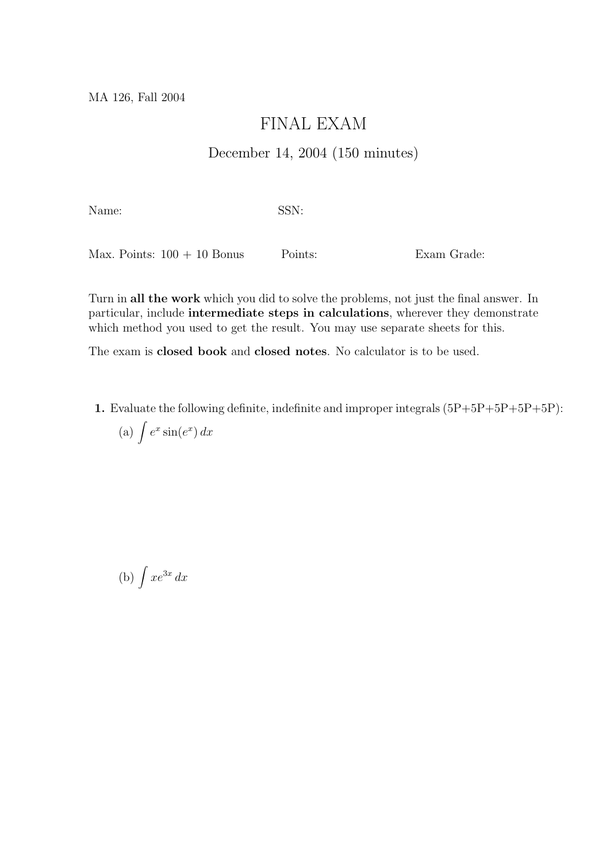## FINAL EXAM

## December 14, 2004 (150 minutes)

Name: SSN:

Max. Points:  $100 + 10$  Bonus Points: Exam Grade:

Turn in all the work which you did to solve the problems, not just the final answer. In particular, include intermediate steps in calculations, wherever they demonstrate which method you used to get the result. You may use separate sheets for this.

The exam is closed book and closed notes. No calculator is to be used.

1. Evaluate the following definite, indefinite and improper integrals (5P+5P+5P+5P+5P):

(a) 
$$
\int e^x \sin(e^x) dx
$$

(b)  $\int xe^{3x} dx$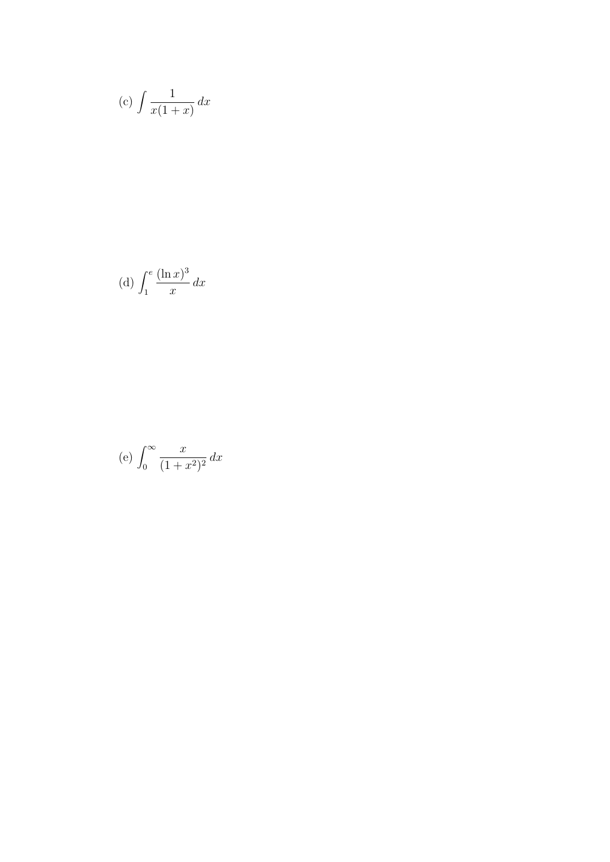$$
(c)\int \frac{1}{x(1+x)}\,dx
$$

(d) 
$$
\int_1^e \frac{(\ln x)^3}{x} dx
$$

$$
(e) \int_0^\infty \frac{x}{(1+x^2)^2} dx
$$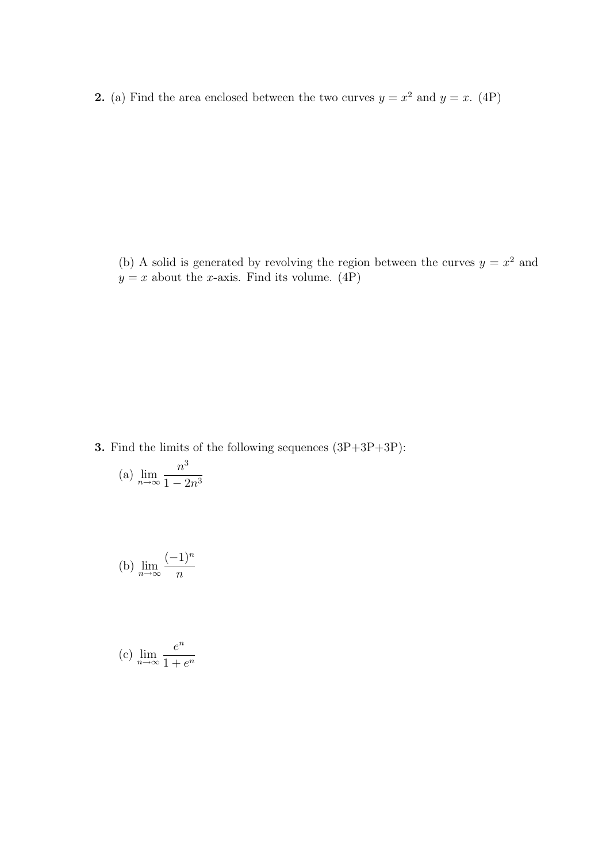**2.** (a) Find the area enclosed between the two curves  $y = x^2$  and  $y = x$ . (4P)

(b) A solid is generated by revolving the region between the curves  $y = x^2$  and  $y = x$  about the *x*-axis. Find its volume. (4P)

3. Find the limits of the following sequences (3P+3P+3P):

(a) 
$$
\lim_{n \to \infty} \frac{n^3}{1 - 2n^3}
$$

(b) 
$$
\lim_{n \to \infty} \frac{(-1)^n}{n}
$$

(c) 
$$
\lim_{n \to \infty} \frac{e^n}{1 + e^n}
$$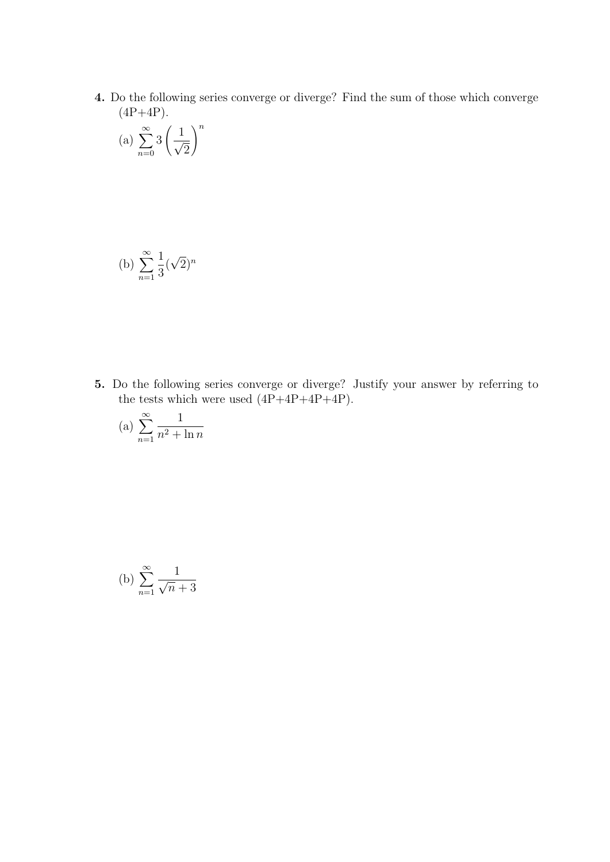4. Do the following series converge or diverge? Find the sum of those which converge  $(4P+4P).$ 

(a) 
$$
\sum_{n=0}^{\infty} 3 \left( \frac{1}{\sqrt{2}} \right)^n
$$

(b) 
$$
\sum_{n=1}^{\infty} \frac{1}{3} (\sqrt{2})^n
$$

5. Do the following series converge or diverge? Justify your answer by referring to the tests which were used  $(4P+4P+4P+4P)$ .

$$
(a) \sum_{n=1}^{\infty} \frac{1}{n^2 + \ln n}
$$

(b) 
$$
\sum_{n=1}^{\infty} \frac{1}{\sqrt{n}+3}
$$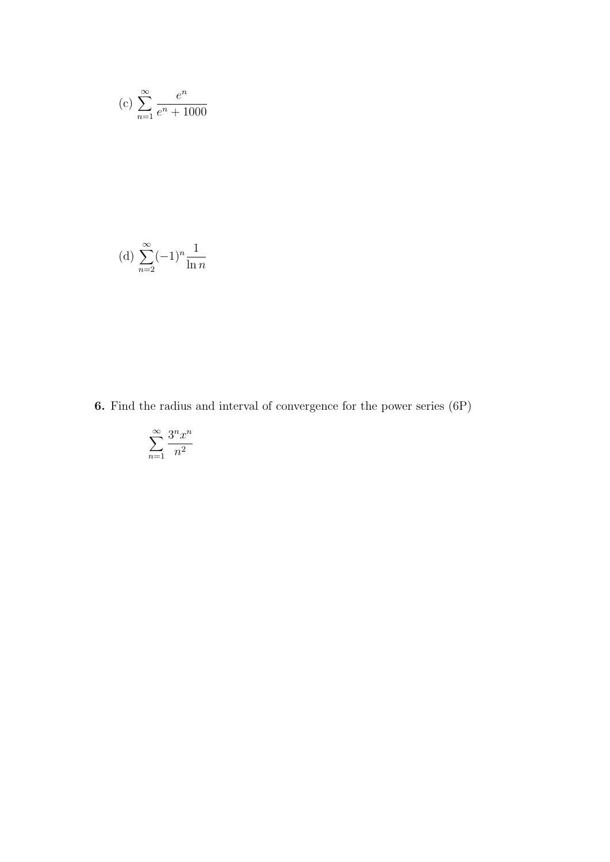(c) 
$$
\sum_{n=1}^{\infty} \frac{e^n}{e^n + 1000}
$$

(d) 
$$
\sum_{n=2}^{\infty} (-1)^n \frac{1}{\ln n}
$$

6. Find the radius and interval of convergence for the power series (6P)

$$
\sum_{n=1}^{\infty} \frac{3^n x^n}{n^2}
$$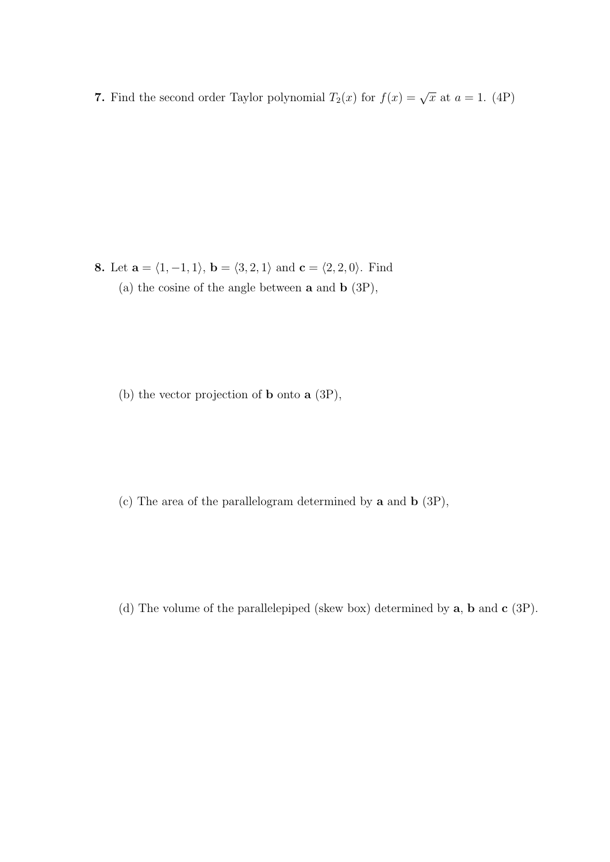7. Find the second order Taylor polynomial  $T_2(x)$  for  $f(x) = \sqrt{x}$  at  $a = 1$ . (4P)

8. Let  $\mathbf{a} = \langle 1, -1, 1 \rangle$ ,  $\mathbf{b} = \langle 3, 2, 1 \rangle$  and  $\mathbf{c} = \langle 2, 2, 0 \rangle$ . Find (a) the cosine of the angle between a and b (3P),

(b) the vector projection of b onto a (3P),

(c) The area of the parallelogram determined by a and b (3P),

(d) The volume of the parallelepiped (skew box) determined by a, b and c (3P).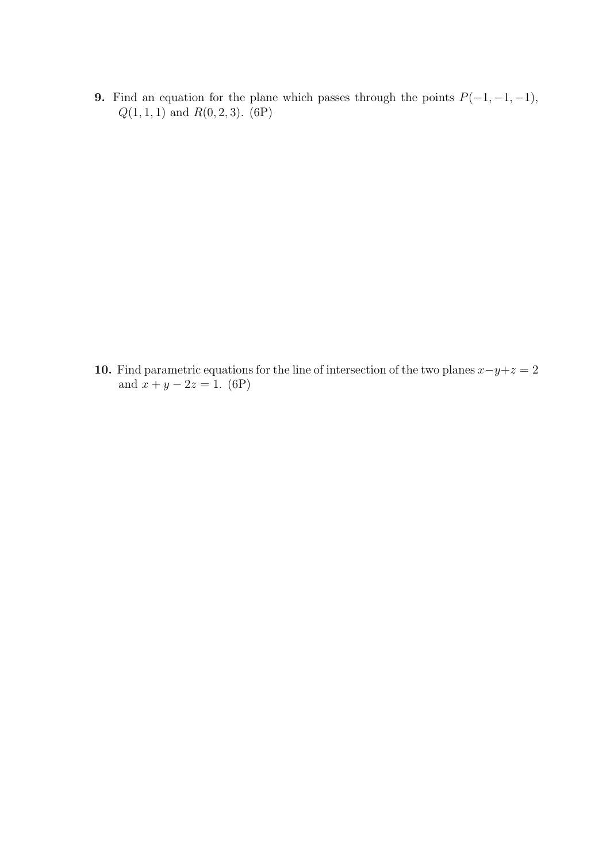9. Find an equation for the plane which passes through the points  $P(-1, -1, -1)$ ,  $Q(1, 1, 1)$  and  $R(0, 2, 3)$ . (6P)

10. Find parametric equations for the line of intersection of the two planes  $x-y+z=2$ and  $x + y - 2z = 1$ . (6P)